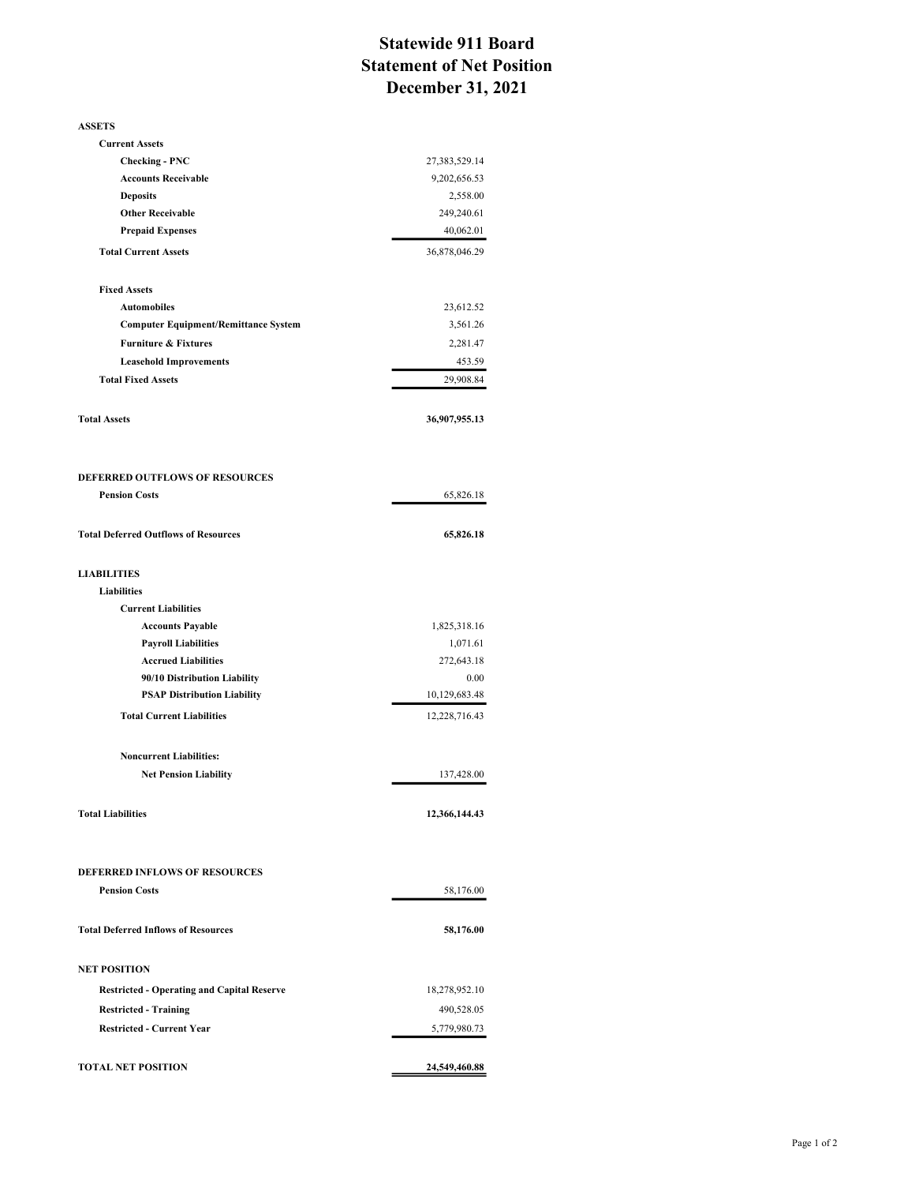## Statewide 911 Board Statement of Net Position December 31, 2021

| <b>ASSETS</b>                                                          |                                |
|------------------------------------------------------------------------|--------------------------------|
| <b>Current Assets</b>                                                  |                                |
| <b>Checking - PNC</b>                                                  | 27,383,529.14                  |
| <b>Accounts Receivable</b>                                             | 9,202,656.53                   |
| <b>Deposits</b>                                                        | 2,558.00                       |
| <b>Other Receivable</b>                                                | 249,240.61                     |
| <b>Prepaid Expenses</b>                                                | 40,062.01                      |
| <b>Total Current Assets</b>                                            | 36,878,046.29                  |
| <b>Fixed Assets</b>                                                    |                                |
| <b>Automobiles</b>                                                     | 23,612.52                      |
| <b>Computer Equipment/Remittance System</b>                            | 3,561.26                       |
| <b>Furniture &amp; Fixtures</b>                                        | 2,281.47                       |
| <b>Leasehold Improvements</b>                                          | 453.59                         |
| <b>Total Fixed Assets</b>                                              | 29,908.84                      |
| <b>Total Assets</b>                                                    | 36,907,955.13                  |
| <b>DEFERRED OUTFLOWS OF RESOURCES</b>                                  |                                |
| <b>Pension Costs</b>                                                   | 65,826.18                      |
|                                                                        |                                |
| <b>Total Deferred Outflows of Resources</b>                            | 65,826.18                      |
| <b>LIABILITIES</b>                                                     |                                |
| <b>Liabilities</b>                                                     |                                |
| <b>Current Liabilities</b>                                             |                                |
| <b>Accounts Payable</b>                                                | 1,825,318.16                   |
| <b>Payroll Liabilities</b>                                             | 1,071.61                       |
| <b>Accrued Liabilities</b>                                             | 272,643.18                     |
| 90/10 Distribution Liability                                           | 0.00                           |
| <b>PSAP Distribution Liability</b><br><b>Total Current Liabilities</b> | 10,129,683.48<br>12,228,716.43 |
|                                                                        |                                |
| <b>Noncurrent Liabilities:</b>                                         |                                |
| <b>Net Pension Liability</b>                                           | 137,428.00                     |
| <b>Total Liabilities</b>                                               | 12,366,144.43                  |
| <b>DEFERRED INFLOWS OF RESOURCES</b>                                   |                                |
| <b>Pension Costs</b>                                                   | 58,176.00                      |
|                                                                        |                                |
| <b>Total Deferred Inflows of Resources</b>                             | 58,176.00                      |
| <b>NET POSITION</b>                                                    |                                |
| <b>Restricted - Operating and Capital Reserve</b>                      | 18,278,952.10                  |
| <b>Restricted - Training</b>                                           | 490,528.05                     |
| <b>Restricted - Current Year</b>                                       | 5,779,980.73                   |
| <b>TOTAL NET POSITION</b>                                              | 24,549,460.88                  |